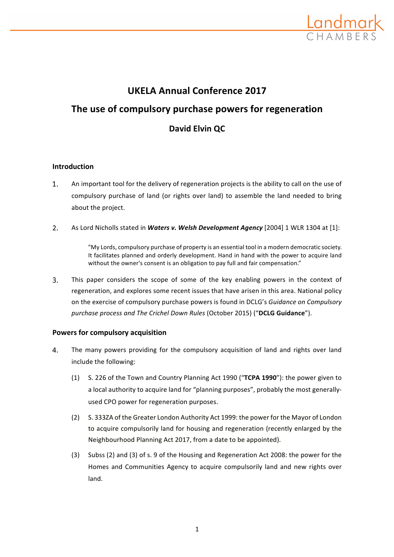

# **UKELA Annual Conference 2017** The use of compulsory purchase powers for regeneration **David Elvin QC**

# **Introduction**

- $1.$ An important tool for the delivery of regeneration projects is the ability to call on the use of compulsory purchase of land (or rights over land) to assemble the land needed to bring about the project.
- $2.$ As Lord Nicholls stated in *Waters v. Welsh Development Agency* [2004] 1 WLR 1304 at [1]:

"My Lords, compulsory purchase of property is an essential tool in a modern democratic society. It facilitates planned and orderly development. Hand in hand with the power to acquire land without the owner's consent is an obligation to pay full and fair compensation."

 $3.$ This paper considers the scope of some of the key enabling powers in the context of regeneration, and explores some recent issues that have arisen in this area. National policy on the exercise of compulsory purchase powers is found in DCLG's *Guidance on Compulsory purchase process and The Crichel Down Rules* (October 2015) ("**DCLG Guidance**").

# **Powers for compulsory acquisition**

- $\mathbf{4}$ . The many powers providing for the compulsory acquisition of land and rights over land include the following:
	- (1) S. 226 of the Town and Country Planning Act 1990 ("TCPA 1990"): the power given to a local authority to acquire land for "planning purposes", probably the most generallyused CPO power for regeneration purposes.
	- (2) S. 333ZA of the Greater London Authority Act 1999: the power for the Mayor of London to acquire compulsorily land for housing and regeneration (recently enlarged by the Neighbourhood Planning Act 2017, from a date to be appointed).
	- (3) Subss (2) and (3) of s. 9 of the Housing and Regeneration Act 2008: the power for the Homes and Communities Agency to acquire compulsorily land and new rights over land.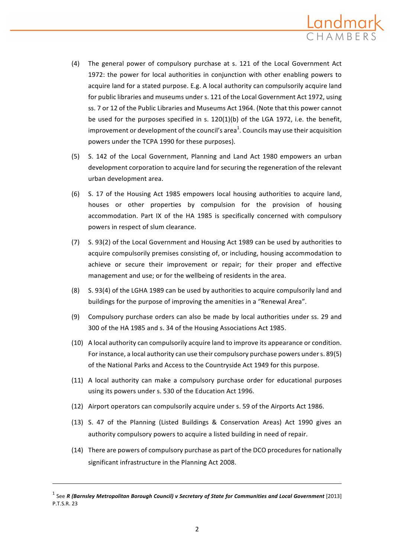

- (4) The general power of compulsory purchase at s. 121 of the Local Government Act 1972: the power for local authorities in conjunction with other enabling powers to acquire land for a stated purpose. E.g. A local authority can compulsorily acquire land for public libraries and museums under s. 121 of the Local Government Act 1972, using ss. 7 or 12 of the Public Libraries and Museums Act 1964. (Note that this power cannot be used for the purposes specified in s.  $120(1)(b)$  of the LGA 1972, i.e. the benefit, improvement or development of the council's area $^1$ . Councils may use their acquisition powers under the TCPA 1990 for these purposes).
- (5) S. 142 of the Local Government, Planning and Land Act 1980 empowers an urban development corporation to acquire land for securing the regeneration of the relevant urban development area.
- (6) S. 17 of the Housing Act 1985 empowers local housing authorities to acquire land, houses or other properties by compulsion for the provision of housing accommodation. Part IX of the HA 1985 is specifically concerned with compulsory powers in respect of slum clearance.
- (7) S. 93(2) of the Local Government and Housing Act 1989 can be used by authorities to acquire compulsorily premises consisting of, or including, housing accommodation to achieve or secure their improvement or repair; for their proper and effective management and use; or for the wellbeing of residents in the area.
- (8) S. 93(4) of the LGHA 1989 can be used by authorities to acquire compulsorily land and buildings for the purpose of improving the amenities in a "Renewal Area".
- (9) Compulsory purchase orders can also be made by local authorities under ss. 29 and 300 of the HA 1985 and s. 34 of the Housing Associations Act 1985.
- (10) A local authority can compulsorily acquire land to improve its appearance or condition. For instance, a local authority can use their compulsory purchase powers under s. 89(5) of the National Parks and Access to the Countryside Act 1949 for this purpose.
- (11) A local authority can make a compulsory purchase order for educational purposes using its powers under s. 530 of the Education Act 1996.
- (12) Airport operators can compulsorily acquire under s. 59 of the Airports Act 1986.
- (13) S. 47 of the Planning (Listed Buildings & Conservation Areas) Act 1990 gives an authority compulsory powers to acquire a listed building in need of repair.
- (14) There are powers of compulsory purchase as part of the DCO procedures for nationally significant infrastructure in the Planning Act 2008.

 $^{\rm 1}$  See **R** (Barnsley Metropolitan Borough Council) v Secretary of State for Communities and Local Government  $\rm [2013]$ P.T.S.R. 23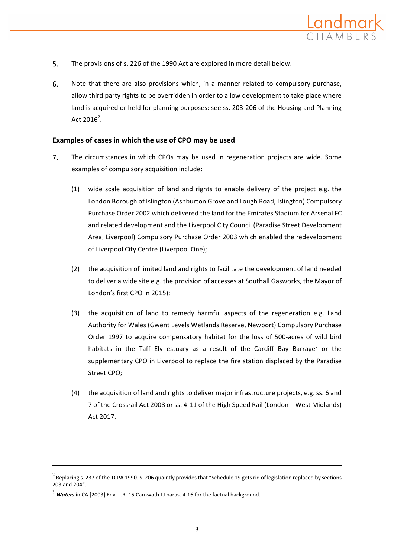

- 5. The provisions of s. 226 of the 1990 Act are explored in more detail below.
- 6. Note that there are also provisions which, in a manner related to compulsory purchase, allow third party rights to be overridden in order to allow development to take place where land is acquired or held for planning purposes: see ss. 203-206 of the Housing and Planning Act 2016 $^2$ .

## **Examples of cases in which the use of CPO may be used**

- $7<sub>1</sub>$ The circumstances in which CPOs may be used in regeneration projects are wide. Some examples of compulsory acquisition include:
	- (1) wide scale acquisition of land and rights to enable delivery of the project e.g. the London Borough of Islington (Ashburton Grove and Lough Road, Islington) Compulsory Purchase Order 2002 which delivered the land for the Emirates Stadium for Arsenal FC and related development and the Liverpool City Council (Paradise Street Development Area, Liverpool) Compulsory Purchase Order 2003 which enabled the redevelopment of Liverpool City Centre (Liverpool One);
	- (2) the acquisition of limited land and rights to facilitate the development of land needed to deliver a wide site e.g. the provision of accesses at Southall Gasworks, the Mayor of London's first CPO in 2015);
	- (3) the acquisition of land to remedy harmful aspects of the regeneration e.g. Land Authority for Wales (Gwent Levels Wetlands Reserve, Newport) Compulsory Purchase Order 1997 to acquire compensatory habitat for the loss of 500-acres of wild bird habitats in the Taff Ely estuary as a result of the Cardiff Bay Barrage<sup>3</sup> or the supplementary CPO in Liverpool to replace the fire station displaced by the Paradise Street CPO;
	- (4) the acquisition of land and rights to deliver major infrastructure projects, e.g. ss. 6 and 7 of the Crossrail Act 2008 or ss. 4-11 of the High Speed Rail (London – West Midlands) Act 2017.

 $^2$  Replacing s. 237 of the TCPA 1990. S. 206 quaintly provides that "Schedule 19 gets rid of legislation replaced by sections 203 and 204".

 $3$  **Waters** in CA [2003] Env. L.R. 15 Carnwath LJ paras. 4-16 for the factual background.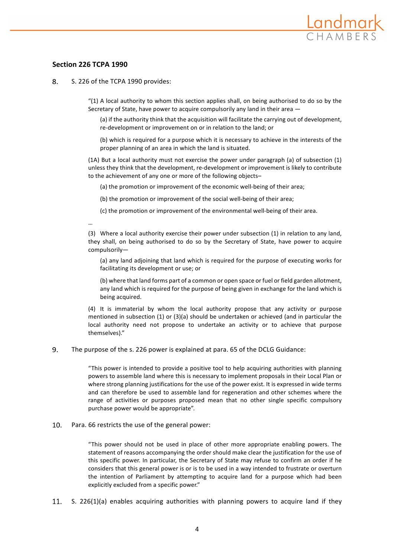

## **Section 226 TCPA 1990**

8. S. 226 of the TCPA 1990 provides:

> " $(1)$  A local authority to whom this section applies shall, on being authorised to do so by the Secretary of State, have power to acquire compulsorily any land in their area  $-$

(a) if the authority think that the acquisition will facilitate the carrying out of development, re-development or improvement on or in relation to the land; or

(b) which is required for a purpose which it is necessary to achieve in the interests of the proper planning of an area in which the land is situated.

(1A) But a local authority must not exercise the power under paragraph (a) of subsection  $(1)$ unless they think that the development, re-development or improvement is likely to contribute to the achievement of any one or more of the following objects-

(a) the promotion or improvement of the economic well-being of their area;

- (b) the promotion or improvement of the social well-being of their area;
- (c) the promotion or improvement of the environmental well-being of their area.
- …

(3) Where a local authority exercise their power under subsection (1) in relation to any land, they shall, on being authorised to do so by the Secretary of State, have power to acquire compulsorily—

(a) any land adjoining that land which is required for the purpose of executing works for facilitating its development or use; or

(b) where that land forms part of a common or open space or fuel or field garden allotment, any land which is required for the purpose of being given in exchange for the land which is being acquired.

(4) It is immaterial by whom the local authority propose that any activity or purpose mentioned in subsection  $(1)$  or  $(3)(a)$  should be undertaken or achieved (and in particular the local authority need not propose to undertake an activity or to achieve that purpose themselves)."

9. The purpose of the s. 226 power is explained at para. 65 of the DCLG Guidance:

> "This power is intended to provide a positive tool to help acquiring authorities with planning powers to assemble land where this is necessary to implement proposals in their Local Plan or where strong planning justifications for the use of the power exist. It is expressed in wide terms and can therefore be used to assemble land for regeneration and other schemes where the range of activities or purposes proposed mean that no other single specific compulsory purchase power would be appropriate".

10. Para. 66 restricts the use of the general power:

> "This power should not be used in place of other more appropriate enabling powers. The statement of reasons accompanying the order should make clear the justification for the use of this specific power. In particular, the Secretary of State may refuse to confirm an order if he considers that this general power is or is to be used in a way intended to frustrate or overturn the intention of Parliament by attempting to acquire land for a purpose which had been explicitly excluded from a specific power."

S. 226(1)(a) enables acquiring authorities with planning powers to acquire land if they 11.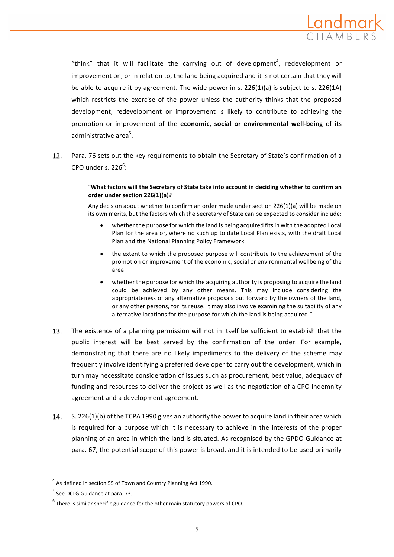

"think" that it will facilitate the carrying out of development<sup>4</sup>, redevelopment or improvement on, or in relation to, the land being acquired and it is not certain that they will be able to acquire it by agreement. The wide power in s. 226(1)(a) is subject to s. 226(1A) which restricts the exercise of the power unless the authority thinks that the proposed development, redevelopment or improvement is likely to contribute to achieving the promotion or improvement of the economic, social or environmental well-being of its administrative area<sup>5</sup>.

 $12.$ Para. 76 sets out the key requirements to obtain the Secretary of State's confirmation of a CPO under s. 226 $<sup>6</sup>$ :</sup>

#### "What factors will the Secretary of State take into account in deciding whether to confirm an order under section 226(1)(a)?

Any decision about whether to confirm an order made under section  $226(1)(a)$  will be made on its own merits, but the factors which the Secretary of State can be expected to consider include:

- whether the purpose for which the land is being acquired fits in with the adopted Local Plan for the area or, where no such up to date Local Plan exists, with the draft Local Plan and the National Planning Policy Framework
- the extent to which the proposed purpose will contribute to the achievement of the promotion or improvement of the economic, social or environmental wellbeing of the area
- whether the purpose for which the acquiring authority is proposing to acquire the land could be achieved by any other means. This may include considering the appropriateness of any alternative proposals put forward by the owners of the land, or any other persons, for its reuse. It may also involve examining the suitability of any alternative locations for the purpose for which the land is being acquired."
- $13<sub>1</sub>$ The existence of a planning permission will not in itself be sufficient to establish that the public interest will be best served by the confirmation of the order. For example, demonstrating that there are no likely impediments to the delivery of the scheme may frequently involve identifying a preferred developer to carry out the development, which in turn may necessitate consideration of issues such as procurement, best value, adequacy of funding and resources to deliver the project as well as the negotiation of a CPO indemnity agreement and a development agreement.
- 14. S. 226(1)(b) of the TCPA 1990 gives an authority the power to acquire land in their area which is required for a purpose which it is necessary to achieve in the interests of the proper planning of an area in which the land is situated. As recognised by the GPDO Guidance at para. 67, the potential scope of this power is broad, and it is intended to be used primarily

 $4$  As defined in section 55 of Town and Country Planning Act 1990.

 $<sup>5</sup>$  See DCLG Guidance at para. 73.</sup>

 $^6$  There is similar specific guidance for the other main statutory powers of CPO.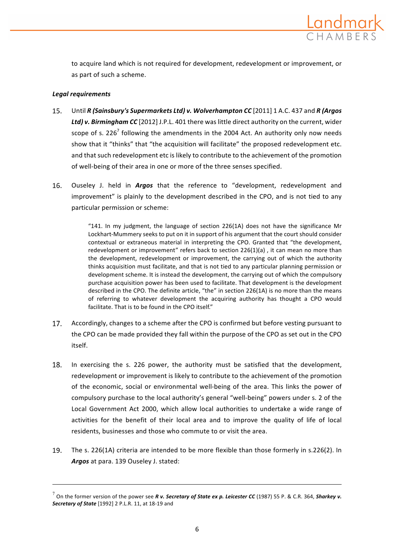

to acquire land which is not required for development, redevelopment or improvement, or as part of such a scheme.

# *Legal requirements*

- 15. Until *R* (Sainsbury's Supermarkets Ltd) v. Wolverhampton CC [2011] 1 A.C. 437 and *R* (Argos Ltd) v. Birmingham CC [2012] J.P.L. 401 there was little direct authority on the current, wider scope of s. 226<sup>7</sup> following the amendments in the 2004 Act. An authority only now needs show that it "thinks" that "the acquisition will facilitate" the proposed redevelopment etc. and that such redevelopment etc is likely to contribute to the achievement of the promotion of well-being of their area in one or more of the three senses specified.
- 16. Ouseley J. held in *Argos* that the reference to "development, redevelopment and improvement" is plainly to the development described in the CPO, and is not tied to any particular permission or scheme:

"141. In my judgment, the language of section  $226(1A)$  does not have the significance Mr Lockhart-Mummery seeks to put on it in support of his argument that the court should consider contextual or extraneous material in interpreting the CPO. Granted that "the development, redevelopment or improvement" refers back to section  $226(1)(a)$ , it can mean no more than the development, redevelopment or improvement, the carrying out of which the authority thinks acquisition must facilitate, and that is not tied to any particular planning permission or development scheme. It is instead the development, the carrying out of which the compulsory purchase acquisition power has been used to facilitate. That development is the development described in the CPO. The definite article, "the" in section  $226(1A)$  is no more than the means of referring to whatever development the acquiring authority has thought a CPO would facilitate. That is to be found in the CPO itself."

- $17<sub>1</sub>$ Accordingly, changes to a scheme after the CPO is confirmed but before vesting pursuant to the CPO can be made provided they fall within the purpose of the CPO as set out in the CPO itself.
- 18. In exercising the s. 226 power, the authority must be satisfied that the development, redevelopment or improvement is likely to contribute to the achievement of the promotion of the economic, social or environmental well-being of the area. This links the power of compulsory purchase to the local authority's general "well-being" powers under s. 2 of the Local Government Act 2000, which allow local authorities to undertake a wide range of activities for the benefit of their local area and to improve the quality of life of local residents, businesses and those who commute to or visit the area.
- 19. The s. 226(1A) criteria are intended to be more flexible than those formerly in s.226(2). In Argos at para. 139 Ouseley J. stated:

<u> 1989 - Johann Stoff, fransk politik (f. 1989)</u>

 $^7$  On the former version of the power see **R** v. Secretary of State ex p. Leicester CC (1987) 55 P. & C.R. 364, Sharkey v. **Secretary of State** [1992] 2 P.L.R. 11, at 18-19 and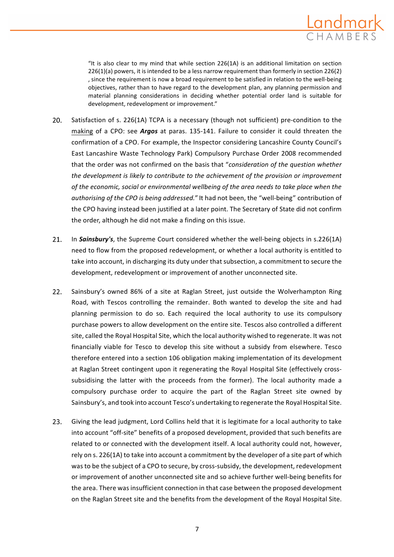

"It is also clear to my mind that while section  $226(1A)$  is an additional limitation on section  $226(1)(a)$  powers, it is intended to be a less narrow requirement than formerly in section 226(2) , since the requirement is now a broad requirement to be satisfied in relation to the well-being objectives, rather than to have regard to the development plan, any planning permission and material planning considerations in deciding whether potential order land is suitable for development, redevelopment or improvement."

- $20.$ Satisfaction of s. 226(1A) TCPA is a necessary (though not sufficient) pre-condition to the making of a CPO: see *Argos* at paras. 135-141. Failure to consider it could threaten the confirmation of a CPO. For example, the Inspector considering Lancashire County Council's East Lancashire Waste Technology Park) Compulsory Purchase Order 2008 recommended that the order was not confirmed on the basis that "consideration of the question whether *the development is likely to contribute to the achievement of the provision or improvement* of the economic, social or environmental wellbeing of the area needs to take place when the *authorising of the CPO is being addressed."* It had not been, the "well-being" contribution of the CPO having instead been justified at a later point. The Secretary of State did not confirm the order, although he did not make a finding on this issue.
- 21. In **Sainsbury's**, the Supreme Court considered whether the well-being objects in s.226(1A) need to flow from the proposed redevelopment, or whether a local authority is entitled to take into account, in discharging its duty under that subsection, a commitment to secure the development, redevelopment or improvement of another unconnected site.
- $22.$ Sainsbury's owned 86% of a site at Raglan Street, just outside the Wolverhampton Ring Road, with Tescos controlling the remainder. Both wanted to develop the site and had planning permission to do so. Each required the local authority to use its compulsory purchase powers to allow development on the entire site. Tescos also controlled a different site, called the Royal Hospital Site, which the local authority wished to regenerate. It was not financially viable for Tesco to develop this site without a subsidy from elsewhere. Tesco therefore entered into a section 106 obligation making implementation of its development at Raglan Street contingent upon it regenerating the Royal Hospital Site (effectively crosssubsidising the latter with the proceeds from the former). The local authority made a compulsory purchase order to acquire the part of the Raglan Street site owned by Sainsbury's, and took into account Tesco's undertaking to regenerate the Royal Hospital Site.
- 23. Giving the lead judgment, Lord Collins held that it is legitimate for a local authority to take into account "off-site" benefits of a proposed development, provided that such benefits are related to or connected with the development itself. A local authority could not, however, rely on s. 226(1A) to take into account a commitment by the developer of a site part of which was to be the subject of a CPO to secure, by cross-subsidy, the development, redevelopment or improvement of another unconnected site and so achieve further well-being benefits for the area. There was insufficient connection in that case between the proposed development on the Raglan Street site and the benefits from the development of the Royal Hospital Site.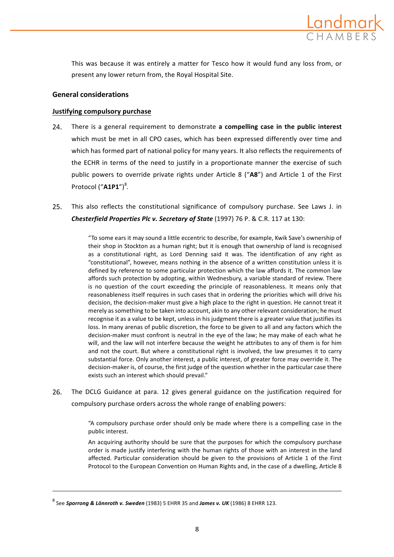

This was because it was entirely a matter for Tesco how it would fund any loss from, or present any lower return from, the Royal Hospital Site.

## **General considerations**

## **Justifying compulsory purchase**

- 24. There is a general requirement to demonstrate a compelling case in the public interest which must be met in all CPO cases, which has been expressed differently over time and which has formed part of national policy for many years. It also reflects the requirements of the ECHR in terms of the need to justify in a proportionate manner the exercise of such public powers to override private rights under Article 8 ("A8") and Article 1 of the First Protocol ("**A1P1**")<sup>8</sup>.
- 25. This also reflects the constitutional significance of compulsory purchase. See Laws J. in **Chesterfield Properties Plc v. Secretary of State** (1997) 76 P. & C.R. 117 at 130:

"To some ears it may sound a little eccentric to describe, for example, Kwik Save's ownership of their shop in Stockton as a human right; but it is enough that ownership of land is recognised as a constitutional right, as Lord Denning said it was. The identification of any right as "constitutional", however, means nothing in the absence of a written constitution unless it is defined by reference to some particular protection which the law affords it. The common law affords such protection by adopting, within Wednesbury, a variable standard of review. There is no question of the court exceeding the principle of reasonableness. It means only that reasonableness itself requires in such cases that in ordering the priorities which will drive his decision, the decision-maker must give a high place to the right in question. He cannot treat it merely as something to be taken into account, akin to any other relevant consideration; he must recognise it as a value to be kept, unless in his judgment there is a greater value that justifies its loss. In many arenas of public discretion, the force to be given to all and any factors which the decision-maker must confront is neutral in the eye of the law; he may make of each what he will, and the law will not interfere because the weight he attributes to any of them is for him and not the court. But where a constitutional right is involved, the law presumes it to carry substantial force. Only another interest, a public interest, of greater force may override it. The decision-maker is, of course, the first judge of the question whether in the particular case there exists such an interest which should prevail."

26. The DCLG Guidance at para. 12 gives general guidance on the justification required for compulsory purchase orders across the whole range of enabling powers:

> "A compulsory purchase order should only be made where there is a compelling case in the public interest.

> An acquiring authority should be sure that the purposes for which the compulsory purchase order is made justify interfering with the human rights of those with an interest in the land affected. Particular consideration should be given to the provisions of Article 1 of the First Protocol to the European Convention on Human Rights and, in the case of a dwelling, Article 8

 $^8$  See **Sporrong & Lönnroth v. Sweden** (1983) 5 EHRR 35 and **James v. UK** (1986) 8 EHRR 123.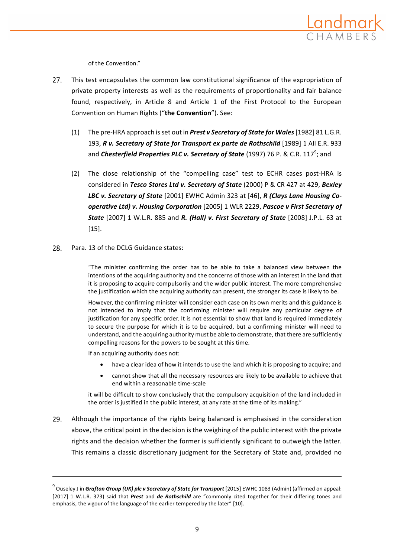

of the Convention."

- 27. This test encapsulates the common law constitutional significance of the expropriation of private property interests as well as the requirements of proportionality and fair balance found, respectively, in Article 8 and Article 1 of the First Protocol to the European Convention on Human Rights ("the Convention"). See:
	- (1) The pre-HRA approach is set out in *Prest v Secretary of State for Wales* [1982] 81 L.G.R. 193, *R* v. Secretary of State for Transport ex parte de Rothschild [1989] 1 All E.R. 933 and *Chesterfield Properties PLC v. Secretary of State* (1997) 76 P. & C.R. 117<sup>9</sup>; and
	- (2) The close relationship of the "compelling case" test to ECHR cases post-HRA is considered in *Tesco Stores Ltd v. Secretary of State* (2000) P & CR 427 at 429, *Bexley* LBC v. Secretary of State [2001] EWHC Admin 323 at [46], *R (Clays Lane Housing Cooperative Ltd)* v. Housing Corporation [2005] 1 WLR 2229, Pascoe v First Secretary of **State** [2007] 1 W.L.R. 885 and *R. (Hall) v. First Secretary of State* [2008] J.P.L. 63 at [15].
- 28. Para. 13 of the DCLG Guidance states:

"The minister confirming the order has to be able to take a balanced view between the intentions of the acquiring authority and the concerns of those with an interest in the land that it is proposing to acquire compulsorily and the wider public interest. The more comprehensive the justification which the acquiring authority can present, the stronger its case is likely to be.

However, the confirming minister will consider each case on its own merits and this guidance is not intended to imply that the confirming minister will require any particular degree of justification for any specific order. It is not essential to show that land is required immediately to secure the purpose for which it is to be acquired, but a confirming minister will need to understand, and the acquiring authority must be able to demonstrate, that there are sufficiently compelling reasons for the powers to be sought at this time.

If an acquiring authority does not:

- have a clear idea of how it intends to use the land which it is proposing to acquire; and
- cannot show that all the necessary resources are likely to be available to achieve that end within a reasonable time-scale

it will be difficult to show conclusively that the compulsory acquisition of the land included in the order is justified in the public interest, at any rate at the time of its making."

 $29.$ Although the importance of the rights being balanced is emphasised in the consideration above, the critical point in the decision is the weighing of the public interest with the private rights and the decision whether the former is sufficiently significant to outweigh the latter. This remains a classic discretionary judgment for the Secretary of State and, provided no

<sup>&</sup>lt;sup>9</sup> Ouseley J in *Grafton Group (UK) plc v Secretary of State for Transport* [2015] EWHC 1083 (Admin) (affirmed on appeal: [2017] 1 W.L.R. 373) said that *Prest* and *de Rothschild* are "commonly cited together for their differing tones and emphasis, the vigour of the language of the earlier tempered by the later" [10].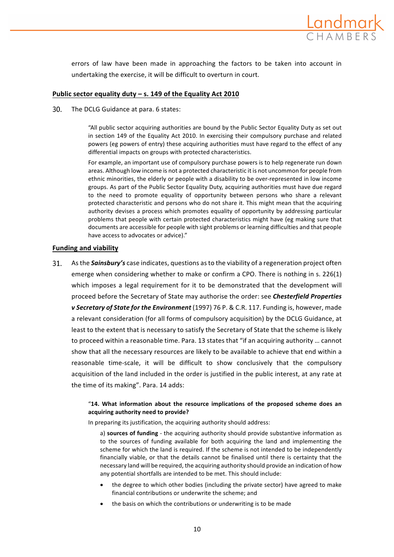

errors of law have been made in approaching the factors to be taken into account in undertaking the exercise, it will be difficult to overturn in court.

#### Public sector equality duty – s. 149 of the Equality Act 2010

 $30.$ The DCLG Guidance at para. 6 states:

> "All public sector acquiring authorities are bound by the Public Sector Equality Duty as set out in section 149 of the Equality Act 2010. In exercising their compulsory purchase and related powers (eg powers of entry) these acquiring authorities must have regard to the effect of any differential impacts on groups with protected characteristics.

> For example, an important use of compulsory purchase powers is to help regenerate run down areas. Although low income is not a protected characteristic it is not uncommon for people from ethnic minorities, the elderly or people with a disability to be over-represented in low income groups. As part of the Public Sector Equality Duty, acquiring authorities must have due regard to the need to promote equality of opportunity between persons who share a relevant protected characteristic and persons who do not share it. This might mean that the acquiring authority devises a process which promotes equality of opportunity by addressing particular problems that people with certain protected characteristics might have (eg making sure that documents are accessible for people with sight problems or learning difficulties and that people have access to advocates or advice)."

#### **Funding and viability**

31. As the **Sainsbury's** case indicates, questions as to the viability of a regeneration project often emerge when considering whether to make or confirm a CPO. There is nothing in s. 226(1) which imposes a legal requirement for it to be demonstrated that the development will proceed before the Secretary of State may authorise the order: see *Chesterfield Properties* v Secretary of State for the Environment (1997) 76 P. & C.R. 117. Funding is, however, made a relevant consideration (for all forms of compulsory acquisition) by the DCLG Guidance, at least to the extent that is necessary to satisfy the Secretary of State that the scheme is likely to proceed within a reasonable time. Para. 13 states that "if an acquiring authority ... cannot show that all the necessary resources are likely to be available to achieve that end within a reasonable time-scale, it will be difficult to show conclusively that the compulsory acquisition of the land included in the order is justified in the public interest, at any rate at the time of its making". Para. 14 adds:

#### "14. What information about the resource implications of the proposed scheme does an **acquiring authority need to provide?**

In preparing its justification, the acquiring authority should address:

a) **sources of funding** - the acquiring authority should provide substantive information as to the sources of funding available for both acquiring the land and implementing the scheme for which the land is required. If the scheme is not intended to be independently financially viable, or that the details cannot be finalised until there is certainty that the necessary land will be required, the acquiring authority should provide an indication of how any potential shortfalls are intended to be met. This should include:

- the degree to which other bodies (including the private sector) have agreed to make financial contributions or underwrite the scheme; and
- the basis on which the contributions or underwriting is to be made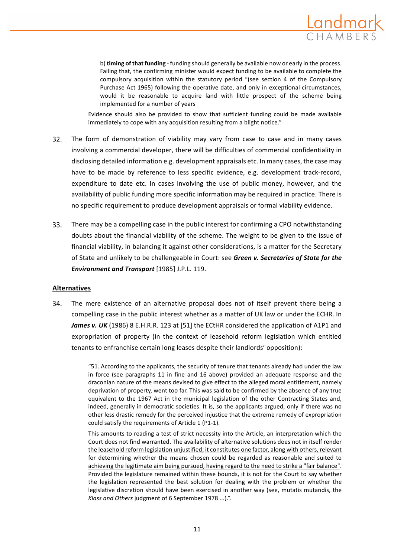

b) **timing of that funding** - funding should generally be available now or early in the process. Failing that, the confirming minister would expect funding to be available to complete the compulsory acquisition within the statutory period "(see section 4 of the Compulsory Purchase Act 1965) following the operative date, and only in exceptional circumstances, would it be reasonable to acquire land with little prospect of the scheme being implemented for a number of years

Evidence should also be provided to show that sufficient funding could be made available immediately to cope with any acquisition resulting from a blight notice."

- 32. The form of demonstration of viability may vary from case to case and in many cases involving a commercial developer, there will be difficulties of commercial confidentiality in disclosing detailed information e.g. development appraisals etc. In many cases, the case may have to be made by reference to less specific evidence, e.g. development track-record, expenditure to date etc. In cases involving the use of public money, however, and the availability of public funding more specific information may be required in practice. There is no specific requirement to produce development appraisals or formal viability evidence.
- 33. There may be a compelling case in the public interest for confirming a CPO notwithstanding doubts about the financial viability of the scheme. The weight to be given to the issue of financial viability, in balancing it against other considerations, is a matter for the Secretary of State and unlikely to be challengeable in Court: see Green v. Secretaries of State for the **Environment and Transport** [1985] J.P.L. 119.

#### **Alternatives**

The mere existence of an alternative proposal does not of itself prevent there being a 34. compelling case in the public interest whether as a matter of UK law or under the ECHR. In **James v. UK** (1986) 8 E.H.R.R. 123 at [51] the ECtHR considered the application of A1P1 and expropriation of property (in the context of leasehold reform legislation which entitled tenants to enfranchise certain long leases despite their landlords' opposition):

> "51. According to the applicants, the security of tenure that tenants already had under the law in force (see paragraphs 11 in fine and 16 above) provided an adequate response and the draconian nature of the means devised to give effect to the alleged moral entitlement, namely deprivation of property, went too far. This was said to be confirmed by the absence of any true equivalent to the 1967 Act in the municipal legislation of the other Contracting States and, indeed, generally in democratic societies. It is, so the applicants argued, only if there was no other less drastic remedy for the perceived injustice that the extreme remedy of expropriation could satisfy the requirements of Article 1 (P1-1).

> This amounts to reading a test of strict necessity into the Article, an interpretation which the Court does not find warranted. The availability of alternative solutions does not in itself render the leasehold reform legislation unjustified; it constitutes one factor, along with others, relevant for determining whether the means chosen could be regarded as reasonable and suited to achieving the legitimate aim being pursued, having regard to the need to strike a "fair balance". Provided the legislature remained within these bounds, it is not for the Court to say whether the legislation represented the best solution for dealing with the problem or whether the legislative discretion should have been exercised in another way (see, mutatis mutandis, the Klass and Others judgment of 6 September 1978 ...).".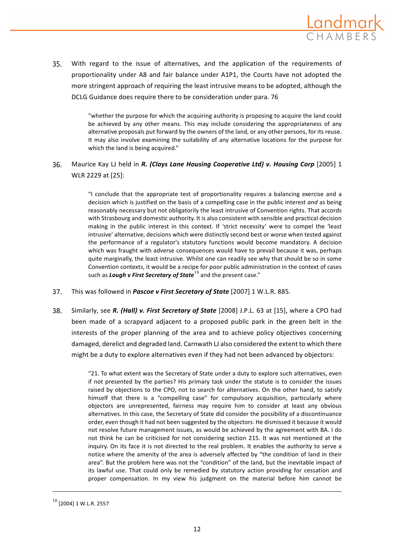

35. With regard to the issue of alternatives, and the application of the requirements of proportionality under A8 and fair balance under A1P1, the Courts have not adopted the more stringent approach of requiring the least intrusive means to be adopted, although the DCLG Guidance does require there to be consideration under para. 76

> "whether the purpose for which the acquiring authority is proposing to acquire the land could be achieved by any other means. This may include considering the appropriateness of any alternative proposals put forward by the owners of the land, or any other persons, for its reuse. It may also involve examining the suitability of any alternative locations for the purpose for which the land is being acquired."

36. Maurice Kay LJ held in *R. (Clays Lane Housing Cooperative Ltd) v. Housing Corp* [2005] 1 WLR 2229 at [25]:

> "I conclude that the appropriate test of proportionality requires a balancing exercise and a decision which is justified on the basis of a compelling case in the public interest *and* as being reasonably necessary but not obligatorily the least intrusive of Convention rights. That accords with Strasbourg and domestic authority. It is also consistent with sensible and practical decision making in the public interest in this context. If 'strict necessity' were to compel the 'least intrusive' alternative, decisions which were distinctly second best or worse when tested against the performance of a regulator's statutory functions would become mandatory. A decision which was fraught with adverse consequences would have to prevail because it was, perhaps quite marginally, the least intrusive. Whilst one can readily see why that should be so in some Convention contexts, it would be a recipe for poor public administration in the context of cases such as *Lough v First Secretary of State*<sup>10</sup> and the present case."

- 37. This was followed in *Pascoe v First Secretary of State* [2007] 1 W.L.R. 885.
- 38. Similarly, see *R. (Hall) v. First Secretary of State* [2008] J.P.L. 63 at [15], where a CPO had been made of a scrapyard adjacent to a proposed public park in the green belt in the interests of the proper planning of the area and to achieve policy objectives concerning damaged, derelict and degraded land. Carnwath LJ also considered the extent to which there might be a duty to explore alternatives even if they had not been advanced by objectors:

"21. To what extent was the Secretary of State under a duty to explore such alternatives, even if not presented by the parties? His primary task under the statute is to consider the issues raised by objections to the CPO, not to search for alternatives. On the other hand, to satisfy himself that there is a "compelling case" for compulsory acquisition, particularly where objectors are unrepresented, fairness may require him to consider at least any obvious alternatives. In this case, the Secretary of State did consider the possibility of a discontinuance order, even though it had not been suggested by the objectors. He dismissed it because it would not resolve future management issues, as would be achieved by the agreement with BA. I do not think he can be criticised for not considering section 215. It was not mentioned at the inquiry. On its face it is not directed to the real problem. It enables the authority to serve a notice where the amenity of the area is adversely affected by "the condition of land in their area". But the problem here was not the "condition" of the land, but the inevitable impact of its lawful use. That could only be remedied by statutory action providing for cessation and proper compensation. In my view his judgment on the material before him cannot be

 $^{10}$  [2004] 1 W.L.R. 2557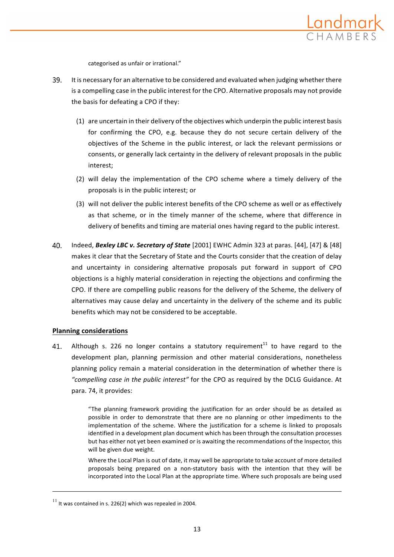

categorised as unfair or irrational."

- 39. It is necessary for an alternative to be considered and evaluated when judging whether there is a compelling case in the public interest for the CPO. Alternative proposals may not provide the basis for defeating a CPO if they:
	- (1) are uncertain in their delivery of the objectives which underpin the public interest basis for confirming the CPO, e.g. because they do not secure certain delivery of the objectives of the Scheme in the public interest, or lack the relevant permissions or consents, or generally lack certainty in the delivery of relevant proposals in the public interest;
	- (2) will delay the implementation of the CPO scheme where a timely delivery of the proposals is in the public interest; or
	- (3) will not deliver the public interest benefits of the CPO scheme as well or as effectively as that scheme, or in the timely manner of the scheme, where that difference in delivery of benefits and timing are material ones having regard to the public interest.
- Indeed, **Bexley LBC v. Secretary of State** [2001] EWHC Admin 323 at paras. [44], [47] & [48] 40. makes it clear that the Secretary of State and the Courts consider that the creation of delay and uncertainty in considering alternative proposals put forward in support of CPO objections is a highly material consideration in rejecting the objections and confirming the CPO. If there are compelling public reasons for the delivery of the Scheme, the delivery of alternatives may cause delay and uncertainty in the delivery of the scheme and its public benefits which may not be considered to be acceptable.

## **Planning considerations**

Although s. 226 no longer contains a statutory requirement<sup>11</sup> to have regard to the 41. development plan, planning permission and other material considerations, nonetheless planning policy remain a material consideration in the determination of whether there is "compelling case in the public interest" for the CPO as required by the DCLG Guidance. At para. 74, it provides:

> "The planning framework providing the justification for an order should be as detailed as possible in order to demonstrate that there are no planning or other impediments to the implementation of the scheme. Where the justification for a scheme is linked to proposals identified in a development plan document which has been through the consultation processes but has either not yet been examined or is awaiting the recommendations of the Inspector, this will be given due weight.

> Where the Local Plan is out of date, it may well be appropriate to take account of more detailed proposals being prepared on a non-statutory basis with the intention that they will be incorporated into the Local Plan at the appropriate time. Where such proposals are being used

 $11$  It was contained in s. 226(2) which was repealed in 2004.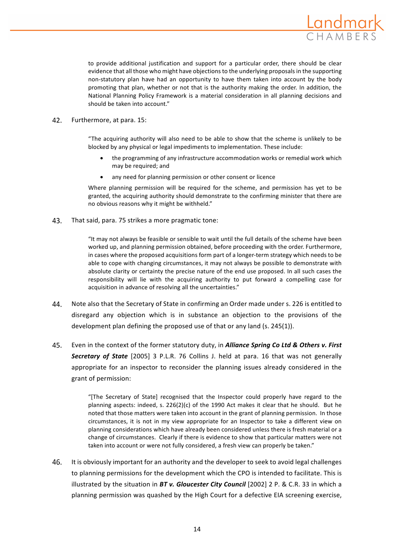

to provide additional justification and support for a particular order, there should be clear evidence that all those who might have objections to the underlying proposals in the supporting non-statutory plan have had an opportunity to have them taken into account by the body promoting that plan, whether or not that is the authority making the order. In addition, the National Planning Policy Framework is a material consideration in all planning decisions and should be taken into account."

#### 42. Furthermore, at para. 15:

"The acquiring authority will also need to be able to show that the scheme is unlikely to be blocked by any physical or legal impediments to implementation. These include:

- the programming of any infrastructure accommodation works or remedial work which may be required; and
- any need for planning permission or other consent or licence

Where planning permission will be required for the scheme, and permission has yet to be granted, the acquiring authority should demonstrate to the confirming minister that there are no obvious reasons why it might be withheld."

43. That said, para. 75 strikes a more pragmatic tone:

> "It may not always be feasible or sensible to wait until the full details of the scheme have been worked up, and planning permission obtained, before proceeding with the order. Furthermore, in cases where the proposed acquisitions form part of a longer-term strategy which needs to be able to cope with changing circumstances, it may not always be possible to demonstrate with absolute clarity or certainty the precise nature of the end use proposed. In all such cases the responsibility will lie with the acquiring authority to put forward a compelling case for acquisition in advance of resolving all the uncertainties."

- 44. Note also that the Secretary of State in confirming an Order made under s. 226 is entitled to disregard any objection which is in substance an objection to the provisions of the development plan defining the proposed use of that or any land  $(s. 245(1))$ .
- 45. Even in the context of the former statutory duty, in *Alliance Spring Co Ltd & Others v. First* **Secretary of State** [2005] 3 P.L.R. 76 Collins J. held at para. 16 that was not generally appropriate for an inspector to reconsider the planning issues already considered in the grant of permission:

"[The Secretary of State] recognised that the Inspector could properly have regard to the planning aspects: indeed, s.  $226(2)(c)$  of the 1990 Act makes it clear that he should. But he noted that those matters were taken into account in the grant of planning permission. In those circumstances, it is not in my view appropriate for an Inspector to take a different view on planning considerations which have already been considered unless there is fresh material or a change of circumstances. Clearly if there is evidence to show that particular matters were not taken into account or were not fully considered, a fresh view can properly be taken."

46. It is obviously important for an authority and the developer to seek to avoid legal challenges to planning permissions for the development which the CPO is intended to facilitate. This is illustrated by the situation in **BT v. Gloucester City Council** [2002] 2 P. & C.R. 33 in which a planning permission was quashed by the High Court for a defective EIA screening exercise,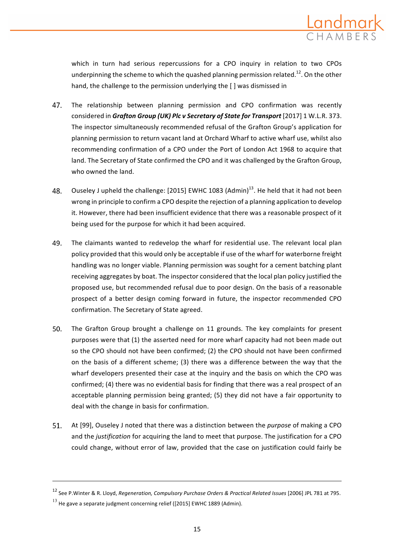

which in turn had serious repercussions for a CPO inquiry in relation to two CPOs underpinning the scheme to which the quashed planning permission related.<sup>12</sup>. On the other hand, the challenge to the permission underlying the [ ] was dismissed in

- 47. The relationship between planning permission and CPO confirmation was recently considered in *Grafton Group (UK) Plc v Secretary of State for Transport* [2017] 1 W.L.R. 373. The inspector simultaneously recommended refusal of the Grafton Group's application for planning permission to return vacant land at Orchard Wharf to active wharf use, whilst also recommending confirmation of a CPO under the Port of London Act 1968 to acquire that land. The Secretary of State confirmed the CPO and it was challenged by the Grafton Group, who owned the land.
- Ouseley J upheld the challenge: [2015] EWHC 1083 (Admin)<sup>13</sup>. He held that it had not been 48. wrong in principle to confirm a CPO despite the rejection of a planning application to develop it. However, there had been insufficient evidence that there was a reasonable prospect of it being used for the purpose for which it had been acquired.
- 49. The claimants wanted to redevelop the wharf for residential use. The relevant local plan policy provided that this would only be acceptable if use of the wharf for waterborne freight handling was no longer viable. Planning permission was sought for a cement batching plant receiving aggregates by boat. The inspector considered that the local plan policy justified the proposed use, but recommended refusal due to poor design. On the basis of a reasonable prospect of a better design coming forward in future, the inspector recommended CPO confirmation. The Secretary of State agreed.
- 50. The Grafton Group brought a challenge on 11 grounds. The key complaints for present purposes were that (1) the asserted need for more wharf capacity had not been made out so the CPO should not have been confirmed; (2) the CPO should not have been confirmed on the basis of a different scheme; (3) there was a difference between the way that the wharf developers presented their case at the inquiry and the basis on which the CPO was confirmed; (4) there was no evidential basis for finding that there was a real prospect of an acceptable planning permission being granted;  $(5)$  they did not have a fair opportunity to deal with the change in basis for confirmation.
- 51. At [99], Ouseley J noted that there was a distinction between the *purpose* of making a CPO and the *justification* for acquiring the land to meet that purpose. The justification for a CPO could change, without error of law, provided that the case on justification could fairly be

<sup>&</sup>lt;u> 1989 - Andrea Stadt Britain, amerikansk politik (d. 1989)</u> <sup>12</sup> See P.Winter & R. Lloyd, *Regeneration, Compulsory Purchase Orders & Practical Related Issues* [2006] JPL 781 at 795.

 $^{13}$  He gave a separate judgment concerning relief ([2015] EWHC 1889 (Admin).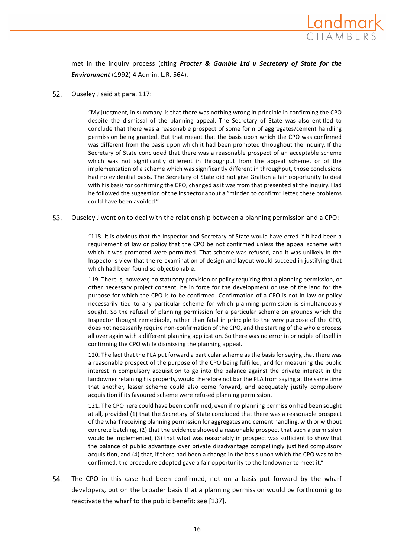

met in the inquiry process (citing *Procter & Gamble Ltd v Secretary of State for the Environment* (1992) 4 Admin. L.R. 564).

#### 52. Ouseley J said at para. 117:

"My judgment, in summary, is that there was nothing wrong in principle in confirming the CPO despite the dismissal of the planning appeal. The Secretary of State was also entitled to conclude that there was a reasonable prospect of some form of aggregates/cement handling permission being granted. But that meant that the basis upon which the CPO was confirmed was different from the basis upon which it had been promoted throughout the Inquiry. If the Secretary of State concluded that there was a reasonable prospect of an acceptable scheme which was not significantly different in throughput from the appeal scheme, or of the implementation of a scheme which was significantly different in throughput, those conclusions had no evidential basis. The Secretary of State did not give Grafton a fair opportunity to deal with his basis for confirming the CPO, changed as it was from that presented at the Inquiry. Had he followed the suggestion of the Inspector about a "minded to confirm" letter, these problems could have been avoided."

#### 53. Ouseley J went on to deal with the relationship between a planning permission and a CPO:

"118. It is obvious that the Inspector and Secretary of State would have erred if it had been a requirement of law or policy that the CPO be not confirmed unless the appeal scheme with which it was promoted were permitted. That scheme was refused, and it was unlikely in the Inspector's view that the re-examination of design and layout would succeed in justifying that which had been found so objectionable.

119. There is, however, no statutory provision or policy requiring that a planning permission, or other necessary project consent, be in force for the development or use of the land for the purpose for which the CPO is to be confirmed. Confirmation of a CPO is not in law or policy necessarily tied to any particular scheme for which planning permission is simultaneously sought. So the refusal of planning permission for a particular scheme on grounds which the Inspector thought remediable, rather than fatal in principle to the very purpose of the CPO, does not necessarily require non-confirmation of the CPO, and the starting of the whole process all over again with a different planning application. So there was no error in principle of itself in confirming the CPO while dismissing the planning appeal.

120. The fact that the PLA put forward a particular scheme as the basis for saying that there was a reasonable prospect of the purpose of the CPO being fulfilled, and for measuring the public interest in compulsory acquisition to go into the balance against the private interest in the landowner retaining his property, would therefore not bar the PLA from saying at the same time that another, lesser scheme could also come forward, and adequately justify compulsory acquisition if its favoured scheme were refused planning permission.

121. The CPO here could have been confirmed, even if no planning permission had been sought at all, provided (1) that the Secretary of State concluded that there was a reasonable prospect of the wharf receiving planning permission for aggregates and cement handling, with or without concrete batching, (2) that the evidence showed a reasonable prospect that such a permission would be implemented, (3) that what was reasonably in prospect was sufficient to show that the balance of public advantage over private disadvantage compellingly justified compulsory acquisition, and (4) that, if there had been a change in the basis upon which the CPO was to be confirmed, the procedure adopted gave a fair opportunity to the landowner to meet it."

54. The CPO in this case had been confirmed, not on a basis put forward by the wharf developers, but on the broader basis that a planning permission would be forthcoming to reactivate the wharf to the public benefit: see [137].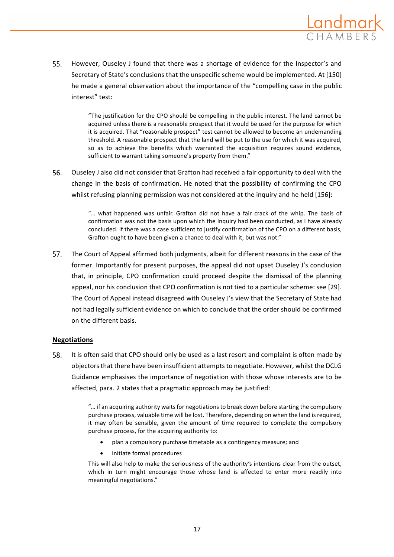

55. However, Ouseley J found that there was a shortage of evidence for the Inspector's and Secretary of State's conclusions that the unspecific scheme would be implemented. At [150] he made a general observation about the importance of the "compelling case in the public interest" test:

> "The justification for the CPO should be compelling in the public interest. The land cannot be acquired unless there is a reasonable prospect that it would be used for the purpose for which it is acquired. That "reasonable prospect" test cannot be allowed to become an undemanding threshold. A reasonable prospect that the land will be put to the use for which it was acquired, so as to achieve the benefits which warranted the acquisition requires sound evidence, sufficient to warrant taking someone's property from them."

56. Ouseley J also did not consider that Grafton had received a fair opportunity to deal with the change in the basis of confirmation. He noted that the possibility of confirming the CPO whilst refusing planning permission was not considered at the inquiry and he held  $[156]$ :

> "... what happened was unfair. Grafton did not have a fair crack of the whip. The basis of confirmation was not the basis upon which the Inquiry had been conducted, as I have already concluded. If there was a case sufficient to justify confirmation of the CPO on a different basis, Grafton ought to have been given a chance to deal with it, but was not."

57. The Court of Appeal affirmed both judgments, albeit for different reasons in the case of the former. Importantly for present purposes, the appeal did not upset Ouseley J's conclusion that, in principle, CPO confirmation could proceed despite the dismissal of the planning appeal, nor his conclusion that CPO confirmation is not tied to a particular scheme: see [29]. The Court of Appeal instead disagreed with Ouseley J's view that the Secretary of State had not had legally sufficient evidence on which to conclude that the order should be confirmed on the different basis.

## **Negotiations**

58. It is often said that CPO should only be used as a last resort and complaint is often made by objectors that there have been insufficient attempts to negotiate. However, whilst the DCLG Guidance emphasises the importance of negotiation with those whose interests are to be affected, para. 2 states that a pragmatic approach may be justified:

> "... if an acquiring authority waits for negotiations to break down before starting the compulsory purchase process, valuable time will be lost. Therefore, depending on when the land is required, it may often be sensible, given the amount of time required to complete the compulsory purchase process, for the acquiring authority to:

- plan a compulsory purchase timetable as a contingency measure; and
- initiate formal procedures

This will also help to make the seriousness of the authority's intentions clear from the outset, which in turn might encourage those whose land is affected to enter more readily into meaningful negotiations."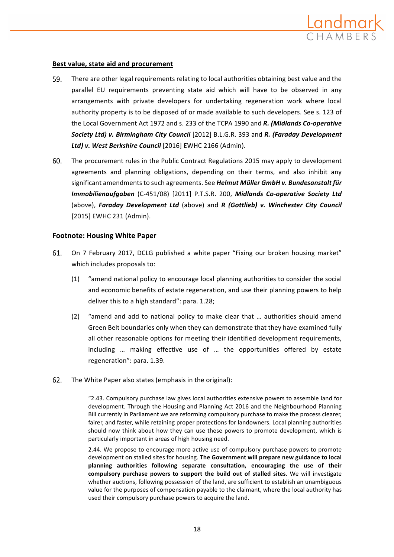

#### **Best value, state aid and procurement**

- 59. There are other legal requirements relating to local authorities obtaining best value and the parallel EU requirements preventing state aid which will have to be observed in any arrangements with private developers for undertaking regeneration work where local authority property is to be disposed of or made available to such developers. See s. 123 of the Local Government Act 1972 and s. 233 of the TCPA 1990 and **R. (Midlands Co-operative Society Ltd)** v. Birmingham City Council [2012] B.L.G.R. 393 and R. (Faraday Development Ltd) v. West Berkshire Council [2016] EWHC 2166 (Admin).
- 60. The procurement rules in the Public Contract Regulations 2015 may apply to development agreements and planning obligations, depending on their terms, and also inhibit any significant amendments to such agreements. See *Helmut Müller GmbH v. Bundesanstalt für Immobilienaufgaben* (C-451/08) [2011] P.T.S.R. 200, *Midlands Co-operative Society Ltd* (above), *Faraday Development Ltd* (above) and *R* (Gottlieb) v. Winchester City Council [2015] EWHC 231 (Admin).

#### **Footnote: Housing White Paper**

- On 7 February 2017, DCLG published a white paper "Fixing our broken housing market" 61. which includes proposals to:
	- (1) "amend national policy to encourage local planning authorities to consider the social and economic benefits of estate regeneration, and use their planning powers to help deliver this to a high standard": para. 1.28;
	- (2) "amend and add to national policy to make clear that ... authorities should amend Green Belt boundaries only when they can demonstrate that they have examined fully all other reasonable options for meeting their identified development requirements, including ... making effective use of ... the opportunities offered by estate regeneration": para. 1.39.
- 62. The White Paper also states (emphasis in the original):

"2.43. Compulsory purchase law gives local authorities extensive powers to assemble land for development. Through the Housing and Planning Act 2016 and the Neighbourhood Planning Bill currently in Parliament we are reforming compulsory purchase to make the process clearer, fairer, and faster, while retaining proper protections for landowners. Local planning authorities should now think about how they can use these powers to promote development, which is particularly important in areas of high housing need.

2.44. We propose to encourage more active use of compulsory purchase powers to promote development on stalled sites for housing. The Government will prepare new guidance to local planning authorities following separate consultation, encouraging the use of their compulsory purchase powers to support the build out of stalled sites. We will investigate whether auctions, following possession of the land, are sufficient to establish an unambiguous value for the purposes of compensation payable to the claimant, where the local authority has used their compulsory purchase powers to acquire the land.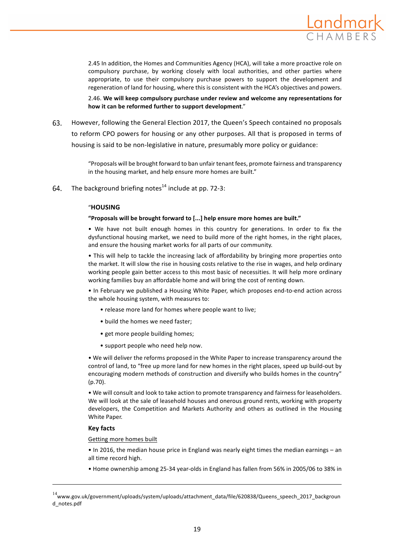

2.45 In addition, the Homes and Communities Agency (HCA), will take a more proactive role on compulsory purchase, by working closely with local authorities, and other parties where appropriate, to use their compulsory purchase powers to support the development and regeneration of land for housing, where this is consistent with the HCA's objectives and powers. 2.46. We will keep compulsory purchase under review and welcome any representations for

how it can be reformed further to support development."

However, following the General Election 2017, the Queen's Speech contained no proposals 63. to reform CPO powers for housing or any other purposes. All that is proposed in terms of housing is said to be non-legislative in nature, presumably more policy or guidance:

> "Proposals will be brought forward to ban unfair tenant fees, promote fairness and transparency in the housing market, and help ensure more homes are built."

The background briefing notes<sup>14</sup> include at pp. 72-3: 64.

#### "**HOUSING**

#### "Proposals will be brought forward to [...] help ensure more homes are built."

• We have not built enough homes in this country for generations. In order to fix the dysfunctional housing market, we need to build more of the right homes, in the right places, and ensure the housing market works for all parts of our community.

• This will help to tackle the increasing lack of affordability by bringing more properties onto the market. It will slow the rise in housing costs relative to the rise in wages, and help ordinary working people gain better access to this most basic of necessities. It will help more ordinary working families buy an affordable home and will bring the cost of renting down.

• In February we published a Housing White Paper, which proposes end-to-end action across the whole housing system, with measures to:

- release more land for homes where people want to live:
- build the homes we need faster;
- get more people building homes;
- support people who need help now.

• We will deliver the reforms proposed in the White Paper to increase transparency around the control of land, to "free up more land for new homes in the right places, speed up build-out by encouraging modern methods of construction and diversify who builds homes in the country" (p.70).

• We will consult and look to take action to promote transparency and fairness for leaseholders. We will look at the sale of leasehold houses and onerous ground rents, working with property developers, the Competition and Markets Authority and others as outlined in the Housing White Paper.

#### **Key facts**

#### Getting more homes built

• In 2016, the median house price in England was nearly eight times the median earnings – an all time record high.

• Home ownership among 25-34 year-olds in England has fallen from 56% in 2005/06 to 38% in

<u> 1989 - Johann Stoff, fransk politik (f. 1989)</u>

 $14$ www.gov.uk/government/uploads/system/uploads/attachment\_data/file/620838/Queens\_speech\_2017\_backgroun d\_notes.pdf